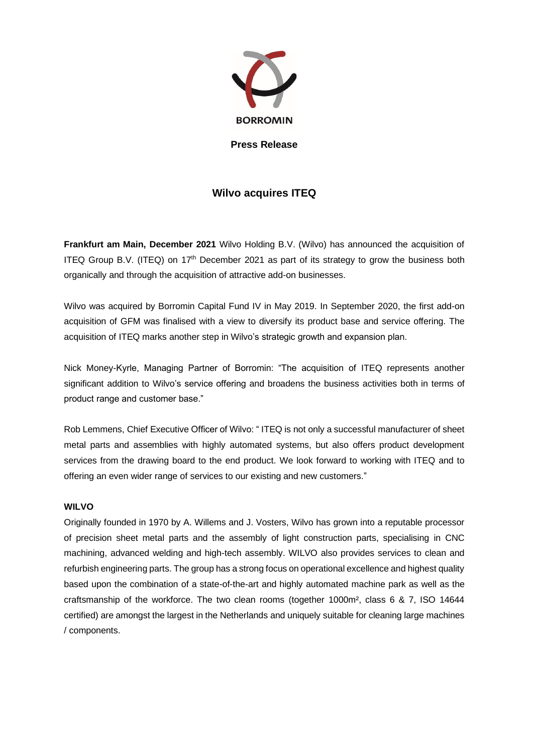

**Press Release**

# **Wilvo acquires ITEQ**

**Frankfurt am Main, December 2021** Wilvo Holding B.V. (Wilvo) has announced the acquisition of ITEQ Group B.V. (ITEQ) on 17<sup>th</sup> December 2021 as part of its strategy to grow the business both organically and through the acquisition of attractive add-on businesses.

Wilvo was acquired by Borromin Capital Fund IV in May 2019. In September 2020, the first add-on acquisition of GFM was finalised with a view to diversify its product base and service offering. The acquisition of ITEQ marks another step in Wilvo's strategic growth and expansion plan.

Nick Money-Kyrle, Managing Partner of Borromin: "The acquisition of ITEQ represents another significant addition to Wilvo's service offering and broadens the business activities both in terms of product range and customer base."

Rob Lemmens, Chief Executive Officer of Wilvo: " ITEQ is not only a successful manufacturer of sheet metal parts and assemblies with highly automated systems, but also offers product development services from the drawing board to the end product. We look forward to working with ITEQ and to offering an even wider range of services to our existing and new customers."

## **WILVO**

Originally founded in 1970 by A. Willems and J. Vosters, Wilvo has grown into a reputable processor of precision sheet metal parts and the assembly of light construction parts, specialising in CNC machining, advanced welding and high-tech assembly. WILVO also provides services to clean and refurbish engineering parts. The group has a strong focus on operational excellence and highest quality based upon the combination of a state-of-the-art and highly automated machine park as well as the craftsmanship of the workforce. The two clean rooms (together 1000m², class 6 & 7, ISO 14644 certified) are amongst the largest in the Netherlands and uniquely suitable for cleaning large machines / components.